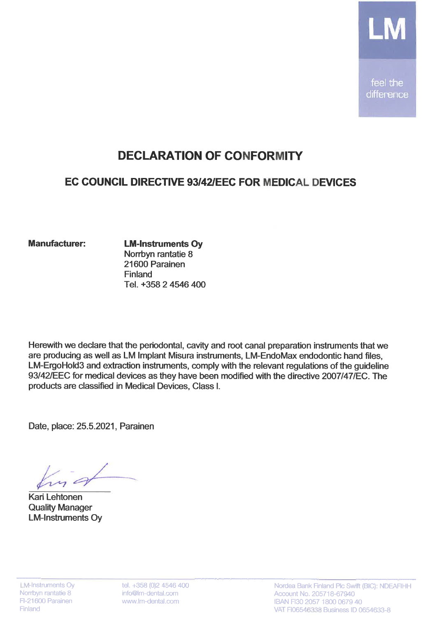

## **DECLARATION OF CONFORMITY**

## EC COUNCIL DIRECTIVE 93/42/EEC FOR MEDICAL DEVICES

## **Manufacturer:**

**LM-Instruments Oy** Norrbyn rantatie 8 21600 Parainen Finland Tel. +358 2 4546 400

Herewith we declare that the periodontal, cavity and root canal preparation instruments that we are producing as well as LM Implant Misura instruments, LM-EndoMax endodontic hand files, LM-ErgoHold3 and extraction instruments, comply with the relevant regulations of the quideline 93/42/EEC for medical devices as they have been modified with the directive 2007/47/EC. The products are classified in Medical Devices. Class I.

Date, place: 25.5.2021, Parainen

**Kari Lehtonen Quality Manager LM-Instruments Oy** 

tel. +358 (0)2 4546 400 info@lm-dental.com www.lm-dental.com

Nordea Bank Finland Plc Swift (BIC): NDEAFIHH Account No. 205718-67940 IBAN FI30 2057 1800 0679 40 VAT FI06546338 Business ID 0654633-8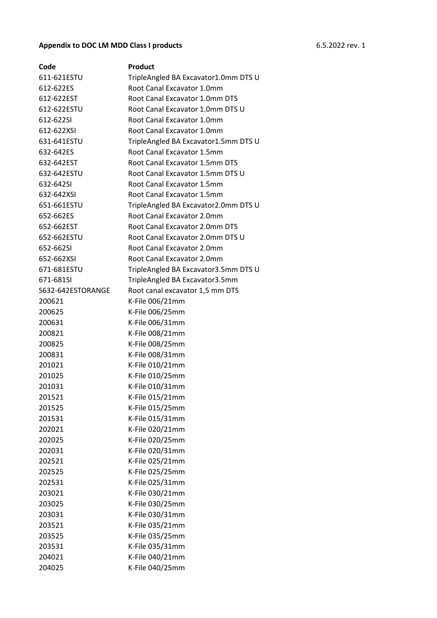## **Appendix to DOC LM MDD Class I products** 6.5.2022 rev. 1

| Code              | Product                              |
|-------------------|--------------------------------------|
| 611-621ESTU       | TripleAngled BA Excavator1.0mm DTS U |
| 612-622ES         | Root Canal Excavator 1.0mm           |
| 612-622EST        | Root Canal Excavator 1.0mm DTS       |
| 612-622ESTU       | Root Canal Excavator 1.0mm DTS U     |
| 612-622SI         | Root Canal Excavator 1.0mm           |
| 612-622XSI        | Root Canal Excavator 1.0mm           |
| 631-641ESTU       | TripleAngled BA Excavator1.5mm DTS U |
| 632-642ES         | Root Canal Excavator 1.5mm           |
| 632-642EST        | Root Canal Excavator 1.5mm DTS       |
| 632-642ESTU       | Root Canal Excavator 1.5mm DTS U     |
| 632-642SI         | Root Canal Excavator 1.5mm           |
| 632-642XSI        | Root Canal Excavator 1.5mm           |
| 651-661ESTU       | TripleAngled BA Excavator2.0mm DTS U |
| 652-662ES         | Root Canal Excavator 2.0mm           |
| 652-662EST        | Root Canal Excavator 2.0mm DTS       |
| 652-662ESTU       | Root Canal Excavator 2.0mm DTS U     |
| 652-662SI         | Root Canal Excavator 2.0mm           |
| 652-662XSI        | Root Canal Excavator 2.0mm           |
| 671-681ESTU       | TripleAngled BA Excavator3.5mm DTS U |
| 671-681SI         | TripleAngled BA Excavator3.5mm       |
| S632-642ESTORANGE | Root canal excavator 1,5 mm DTS      |
| 200621            | K-File 006/21mm                      |
| 200625            | K-File 006/25mm                      |
| 200631            | K-File 006/31mm                      |
| 200821            | K-File 008/21mm                      |
| 200825            | K-File 008/25mm                      |
| 200831            | K-File 008/31mm                      |
| 201021            | K-File 010/21mm                      |
| 201025            | K-File 010/25mm                      |
| 201031            | K-File 010/31mm                      |
| 201521            | K-File 015/21mm                      |
| 201525            | K-File 015/25mm                      |
| 201531            | K-File 015/31mm                      |
| 202021            | K-File 020/21mm                      |
| 202025            | K-File 020/25mm                      |
| 202031            | K-File 020/31mm                      |
| 202521            | K-File 025/21mm                      |
| 202525            | K-File 025/25mm                      |
| 202531            | K-File 025/31mm                      |
| 203021            | K-File 030/21mm                      |
| 203025            | K-File 030/25mm                      |
| 203031            | K-File 030/31mm                      |
| 203521            | K-File 035/21mm                      |
| 203525            | K-File 035/25mm                      |
| 203531            | K-File 035/31mm                      |
| 204021            | K-File 040/21mm                      |
| 204025            | K-File 040/25mm                      |
|                   |                                      |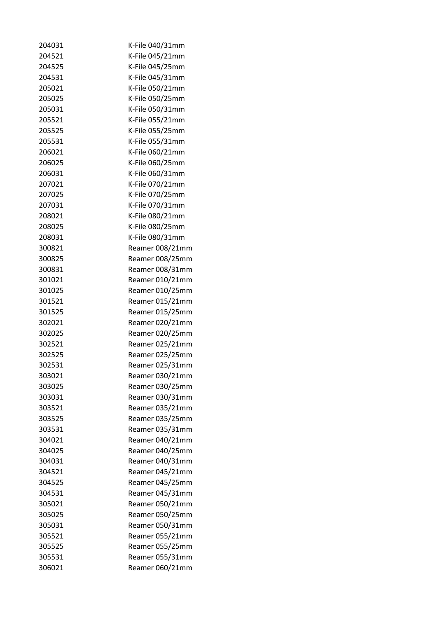| 204031 | K-File 040/31mm |
|--------|-----------------|
| 204521 | K-File 045/21mm |
| 204525 | K-File 045/25mm |
| 204531 | K-File 045/31mm |
| 205021 | K-File 050/21mm |
| 205025 | K-File 050/25mm |
| 205031 | K-File 050/31mm |
| 205521 | K-File 055/21mm |
| 205525 | K-File 055/25mm |
| 205531 | K-File 055/31mm |
| 206021 | K-File 060/21mm |
| 206025 | K-File 060/25mm |
| 206031 | K-File 060/31mm |
| 207021 | K-File 070/21mm |
| 207025 | K-File 070/25mm |
| 207031 | K-File 070/31mm |
| 208021 | K-File 080/21mm |
| 208025 | K-File 080/25mm |
| 208031 | K-File 080/31mm |
| 300821 | Reamer 008/21mm |
| 300825 | Reamer 008/25mm |
| 300831 | Reamer 008/31mm |
| 301021 | Reamer 010/21mm |
| 301025 | Reamer 010/25mm |
| 301521 | Reamer 015/21mm |
| 301525 | Reamer 015/25mm |
| 302021 | Reamer 020/21mm |
| 302025 | Reamer 020/25mm |
| 302521 | Reamer 025/21mm |
| 302525 | Reamer 025/25mm |
| 302531 | Reamer 025/31mm |
| 303021 | Reamer 030/21mm |
| 303025 | Reamer 030/25mm |
| 303031 | Reamer 030/31mm |
| 303521 | Reamer 035/21mm |
| 303525 | Reamer 035/25mm |
| 303531 | Reamer 035/31mm |
| 304021 | Reamer 040/21mm |
| 304025 | Reamer 040/25mm |
| 304031 | Reamer 040/31mm |
| 304521 | Reamer 045/21mm |
| 304525 | Reamer 045/25mm |
| 304531 | Reamer 045/31mm |
| 305021 | Reamer 050/21mm |
| 305025 | Reamer 050/25mm |
| 305031 | Reamer 050/31mm |
| 305521 | Reamer 055/21mm |
| 305525 | Reamer 055/25mm |
| 305531 | Reamer 055/31mm |
| 306021 | Reamer 060/21mm |
|        |                 |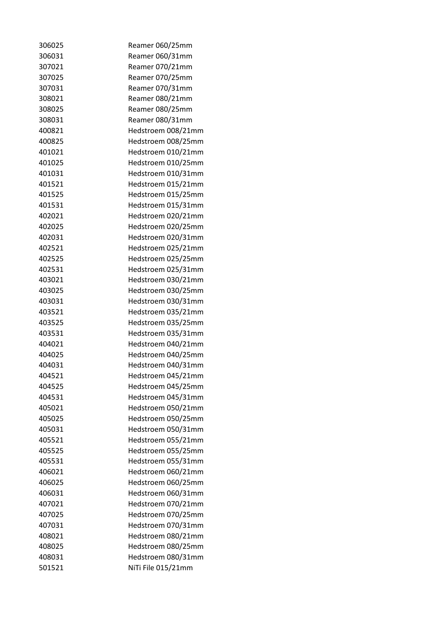| 306025 | Reamer 060/25mm    |
|--------|--------------------|
| 306031 | Reamer 060/31mm    |
| 307021 | Reamer 070/21mm    |
| 307025 | Reamer 070/25mm    |
| 307031 | Reamer 070/31mm    |
| 308021 | Reamer 080/21mm    |
| 308025 | Reamer 080/25mm    |
| 308031 | Reamer 080/31mm    |
| 400821 | Hedstroem 008/21mm |
| 400825 | Hedstroem 008/25mm |
| 401021 | Hedstroem 010/21mm |
| 401025 | Hedstroem 010/25mm |
| 401031 | Hedstroem 010/31mm |
| 401521 | Hedstroem 015/21mm |
| 401525 | Hedstroem 015/25mm |
| 401531 | Hedstroem 015/31mm |
| 402021 | Hedstroem 020/21mm |
| 402025 | Hedstroem 020/25mm |
| 402031 | Hedstroem 020/31mm |
| 402521 | Hedstroem 025/21mm |
| 402525 | Hedstroem 025/25mm |
| 402531 | Hedstroem 025/31mm |
| 403021 | Hedstroem 030/21mm |
| 403025 | Hedstroem 030/25mm |
| 403031 | Hedstroem 030/31mm |
| 403521 | Hedstroem 035/21mm |
| 403525 | Hedstroem 035/25mm |
| 403531 | Hedstroem 035/31mm |
| 404021 | Hedstroem 040/21mm |
| 404025 | Hedstroem 040/25mm |
| 404031 | Hedstroem 040/31mm |
| 404521 | Hedstroem 045/21mm |
| 404525 | Hedstroem 045/25mm |
| 404531 | Hedstroem 045/31mm |
| 405021 | Hedstroem 050/21mm |
| 405025 | Hedstroem 050/25mm |
| 405031 | Hedstroem 050/31mm |
| 405521 | Hedstroem 055/21mm |
| 405525 | Hedstroem 055/25mm |
|        |                    |
| 405531 | Hedstroem 055/31mm |
| 406021 | Hedstroem 060/21mm |
| 406025 | Hedstroem 060/25mm |
| 406031 | Hedstroem 060/31mm |
| 407021 | Hedstroem 070/21mm |
| 407025 | Hedstroem 070/25mm |
| 407031 | Hedstroem 070/31mm |
| 408021 | Hedstroem 080/21mm |
| 408025 | Hedstroem 080/25mm |
| 408031 | Hedstroem 080/31mm |
| 501521 | NiTi File 015/21mm |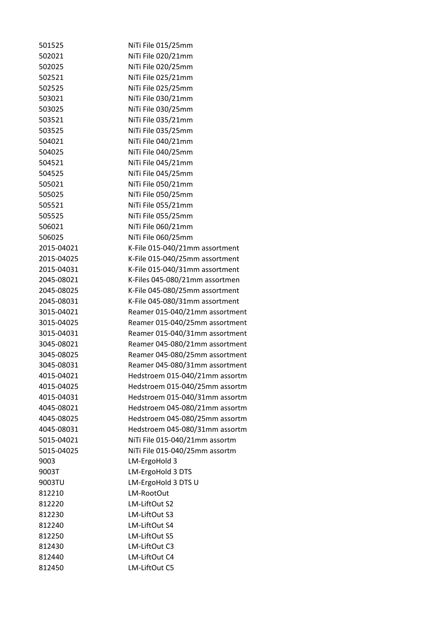| 501525     | NiTi File 015/25mm             |
|------------|--------------------------------|
| 502021     | NiTi File 020/21mm             |
| 502025     | NiTi File 020/25mm             |
| 502521     | NiTi File 025/21mm             |
| 502525     | NiTi File 025/25mm             |
| 503021     | NiTi File 030/21mm             |
| 503025     | NiTi File 030/25mm             |
| 503521     | NiTi File 035/21mm             |
| 503525     | NiTi File 035/25mm             |
| 504021     | NiTi File 040/21mm             |
| 504025     | NiTi File 040/25mm             |
| 504521     | NiTi File 045/21mm             |
| 504525     | NiTi File 045/25mm             |
| 505021     | NiTi File 050/21mm             |
| 505025     | NiTi File 050/25mm             |
| 505521     | NiTi File 055/21mm             |
| 505525     | NiTi File 055/25mm             |
| 506021     | NiTi File 060/21mm             |
| 506025     | NiTi File 060/25mm             |
| 2015-04021 | K-File 015-040/21mm assortment |
| 2015-04025 | K-File 015-040/25mm assortment |
| 2015-04031 | K-File 015-040/31mm assortment |
| 2045-08021 | K-Files 045-080/21mm assortmen |
| 2045-08025 | K-File 045-080/25mm assortment |
| 2045-08031 | K-File 045-080/31mm assortment |
| 3015-04021 | Reamer 015-040/21mm assortment |
| 3015-04025 | Reamer 015-040/25mm assortment |
| 3015-04031 | Reamer 015-040/31mm assortment |
| 3045-08021 | Reamer 045-080/21mm assortment |
| 3045-08025 | Reamer 045-080/25mm assortment |
| 3045-08031 | Reamer 045-080/31mm assortment |
| 4015-04021 | Hedstroem 015-040/21mm assortm |
| 4015-04025 | Hedstroem 015-040/25mm assortm |
| 4015-04031 | Hedstroem 015-040/31mm assortm |
| 4045-08021 | Hedstroem 045-080/21mm assortm |
| 4045-08025 | Hedstroem 045-080/25mm assortm |
| 4045-08031 | Hedstroem 045-080/31mm assortm |
| 5015-04021 | NiTi File 015-040/21mm assortm |
| 5015-04025 | NiTi File 015-040/25mm assortm |
| 9003       | LM-ErgoHold 3                  |
| 9003T      | LM-ErgoHold 3 DTS              |
| 9003TU     | LM-ErgoHold 3 DTS U            |
| 812210     | LM-RootOut                     |
| 812220     | LM-LiftOut S2                  |
| 812230     | LM-LiftOut S3                  |
| 812240     | LM-LiftOut S4                  |
| 812250     | LM-LiftOut S5                  |
| 812430     | LM-LiftOut C3                  |
| 812440     | LM-LiftOut C4                  |
| 812450     | LM-LiftOut C5                  |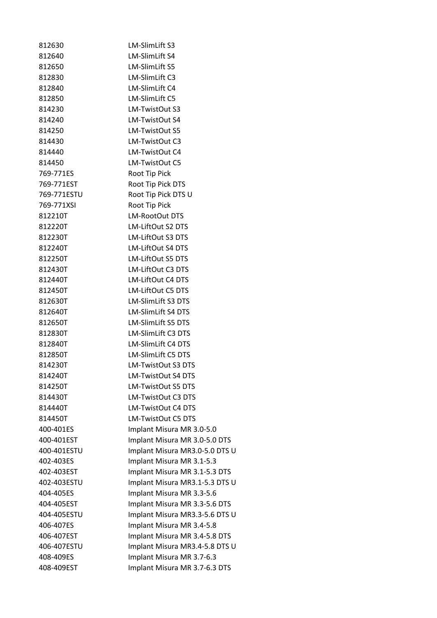| 812630      | LM-SlimLift S3                 |
|-------------|--------------------------------|
| 812640      | LM-SlimLift S4                 |
| 812650      | LM-SlimLift S5                 |
| 812830      | LM-SlimLift C3                 |
| 812840      | LM-SlimLift C4                 |
| 812850      | LM-SlimLift C5                 |
| 814230      | LM-TwistOut S3                 |
| 814240      | LM-TwistOut S4                 |
| 814250      | LM-TwistOut S5                 |
| 814430      | LM-TwistOut C3                 |
| 814440      | LM-TwistOut C4                 |
| 814450      | LM-TwistOut C5                 |
| 769-771ES   | Root Tip Pick                  |
| 769-771EST  | Root Tip Pick DTS              |
| 769-771ESTU | Root Tip Pick DTS U            |
| 769-771XSI  | Root Tip Pick                  |
| 812210T     | <b>LM-RootOut DTS</b>          |
| 812220T     | LM-LiftOut S2 DTS              |
| 812230T     | LM-LiftOut S3 DTS              |
| 812240T     | LM-LiftOut S4 DTS              |
| 812250T     | LM-LiftOut S5 DTS              |
| 812430T     | LM-LiftOut C3 DTS              |
| 812440T     | LM-LiftOut C4 DTS              |
| 812450T     | LM-LiftOut C5 DTS              |
| 812630T     | LM-SlimLift S3 DTS             |
| 812640T     | LM-SlimLift S4 DTS             |
| 812650T     | <b>LM-SlimLift S5 DTS</b>      |
| 812830T     | <b>LM-SlimLift C3 DTS</b>      |
| 812840T     | <b>LM-SlimLift C4 DTS</b>      |
| 812850T     | LM-SlimLift C5 DTS             |
| 814230T     | <b>LM-TwistOut S3 DTS</b>      |
| 814240T     | LM-TwistOut S4 DTS             |
| 814250T     | LM-TwistOut S5 DTS             |
| 814430T     | <b>LM-TwistOut C3 DTS</b>      |
| 814440T     | LM-TwistOut C4 DTS             |
| 814450T     | LM-TwistOut C5 DTS             |
| 400-401ES   | Implant Misura MR 3.0-5.0      |
| 400-401EST  | Implant Misura MR 3.0-5.0 DTS  |
| 400-401ESTU | Implant Misura MR3.0-5.0 DTS U |
| 402-403ES   | Implant Misura MR 3.1-5.3      |
| 402-403EST  | Implant Misura MR 3.1-5.3 DTS  |
| 402-403ESTU | Implant Misura MR3.1-5.3 DTS U |
| 404-405ES   | Implant Misura MR 3.3-5.6      |
| 404-405EST  | Implant Misura MR 3.3-5.6 DTS  |
| 404-405ESTU | Implant Misura MR3.3-5.6 DTS U |
| 406-407ES   | Implant Misura MR 3.4-5.8      |
| 406-407EST  | Implant Misura MR 3.4-5.8 DTS  |
| 406-407ESTU | Implant Misura MR3.4-5.8 DTS U |
| 408-409ES   | Implant Misura MR 3.7-6.3      |
| 408-409EST  | Implant Misura MR 3.7-6.3 DTS  |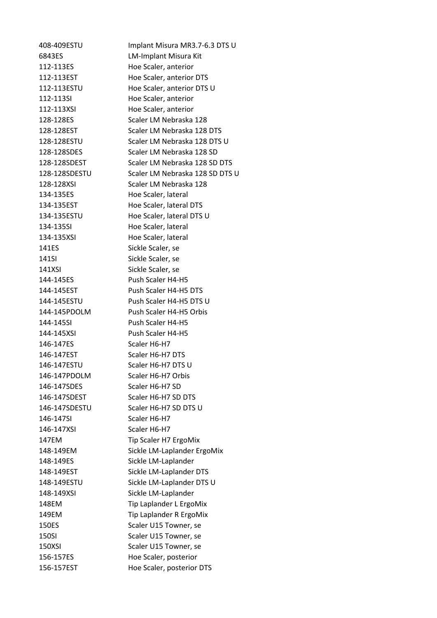408-409ESTU Implant Misura MR3.7-6.3 DTS U 6843ES LM-Implant Misura Kit 112-113ES Hoe Scaler, anterior 112-113EST Hoe Scaler, anterior DTS 112-113ESTU Hoe Scaler, anterior DTS U 112-113SI Hoe Scaler, anterior 112-113XSI Hoe Scaler, anterior 128-128ES Scaler LM Nebraska 128 128-128EST Scaler LM Nebraska 128 DTS 128-128ESTU Scaler LM Nebraska 128 DTS U 128-128SDES Scaler LM Nebraska 128 SD 128-128SDEST Scaler LM Nebraska 128 SD DTS 128-128SDESTU Scaler LM Nebraska 128 SD DTS U 128-128XSI Scaler LM Nebraska 128 134-135ES Hoe Scaler, lateral 134-135EST Hoe Scaler, lateral DTS 134-135ESTU Hoe Scaler, lateral DTS U 134-135SI Hoe Scaler, lateral 134-135XSI Hoe Scaler, lateral 141ES Sickle Scaler, se 141SI Sickle Scaler, se 141XSI Sickle Scaler, se 144-145ES Push Scaler H4-H5 144-145EST Push Scaler H4-H5 DTS 144-145ESTU Push Scaler H4-H5 DTS U 144-145PDOLM Push Scaler H4-H5 Orbis 144-145SI Push Scaler H4-H5 144-145XSI Push Scaler H4-H5 146-147ES Scaler H6-H7 146-147EST Scaler H6-H7 DTS 146-147ESTU Scaler H6-H7 DTS U 146-147PDOLM Scaler H6-H7 Orbis 146-147SDES Scaler H6-H7 SD 146-147SDEST Scaler H6-H7 SD DTS 146-147SDESTU Scaler H6-H7 SD DTS U 146-147SI Scaler H6-H7 146-147XSI Scaler H6-H7 147EM Tip Scaler H7 ErgoMix 148-149EM Sickle LM-Laplander ErgoMix 148-149ES Sickle LM-Laplander 148-149EST Sickle LM-Laplander DTS 148-149ESTU Sickle LM-Laplander DTS U 148-149XSI Sickle LM-Laplander 148EM Tip Laplander L ErgoMix 149EM Tip Laplander R ErgoMix 150ES Scaler U15 Towner, se 150SI Scaler U15 Towner, se 150XSI Scaler U15 Towner, se 156-157ES Hoe Scaler, posterior 156-157EST Hoe Scaler, posterior DTS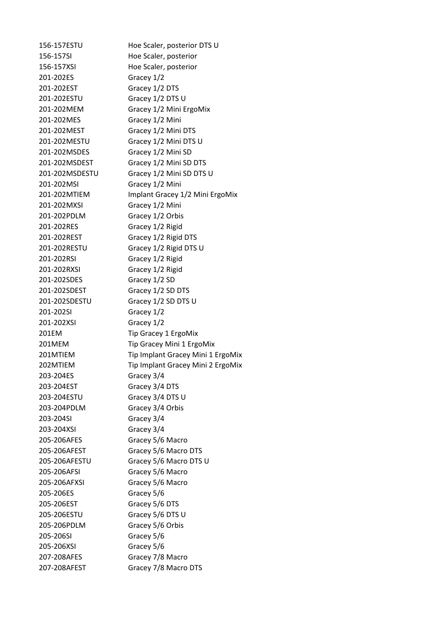156-157ESTU Hoe Scaler, posterior DTS U 156-157SI Hoe Scaler, posterior 156-157XSI Hoe Scaler, posterior 201-202ES Gracey 1/2 201-202EST Gracey 1/2 DTS 201-202ESTU Gracey 1/2 DTS U 201-202MEM Gracey 1/2 Mini ErgoMix 201-202MES Gracey 1/2 Mini 201-202MEST Gracey 1/2 Mini DTS 201-202MESTU Gracey 1/2 Mini DTS U 201-202MSDES Gracey 1/2 Mini SD 201-202MSDEST Gracey 1/2 Mini SD DTS 201-202MSDESTU Gracey 1/2 Mini SD DTS U 201-202MSI Gracey 1/2 Mini 201-202MTIEM Implant Gracey 1/2 Mini ErgoMix 201-202MXSI Gracey 1/2 Mini 201-202PDLM Gracey 1/2 Orbis 201-202RES Gracey 1/2 Rigid 201-202REST Gracey 1/2 Rigid DTS 201-202RESTU Gracey 1/2 Rigid DTS U 201-202RSI Gracey 1/2 Rigid 201-202RXSI Gracey 1/2 Rigid 201-202SDES Gracey 1/2 SD 201-202SDEST Gracey 1/2 SD DTS 201-202SDESTU Gracey 1/2 SD DTS U 201-202SI Gracey 1/2 201-202XSI Gracey 1/2 201EM Tip Gracey 1 ErgoMix 201MEM Tip Gracey Mini 1 ErgoMix 201MTIEM Tip Implant Gracey Mini 1 ErgoMix 202MTIEM Tip Implant Gracey Mini 2 ErgoMix 203-204ES Gracey 3/4 203-204EST Gracey 3/4 DTS 203-204ESTU Gracey 3/4 DTS U 203-204PDLM Gracey 3/4 Orbis 203-204SI Gracey 3/4 203-204XSI Gracey 3/4 205-206AFES Gracey 5/6 Macro 205-206AFEST Gracey 5/6 Macro DTS 205-206AFESTU Gracey 5/6 Macro DTS U 205-206AFSI Gracey 5/6 Macro 205-206AFXSI Gracey 5/6 Macro 205-206ES Gracey 5/6 205-206EST Gracey 5/6 DTS 205-206ESTU Gracey 5/6 DTS U 205-206PDLM Gracey 5/6 Orbis 205-206SI Gracey 5/6 205-206XSI Gracey 5/6 207-208AFES Gracey 7/8 Macro 207-208AFEST Gracey 7/8 Macro DTS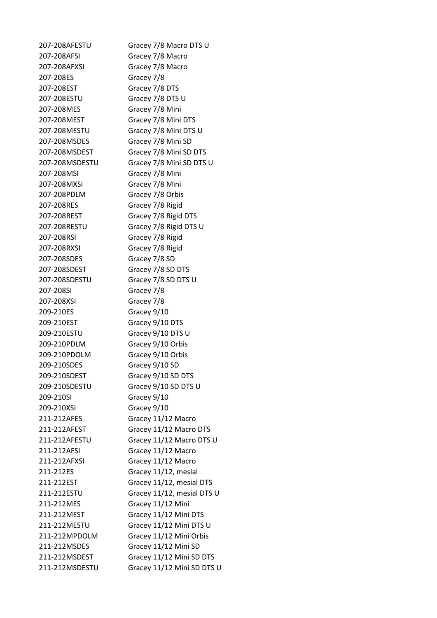| 207-208AFESTU  | Gracey 7/8 Macro DTS U     |
|----------------|----------------------------|
| 207-208AFSI    | Gracey 7/8 Macro           |
| 207-208AFXSI   | Gracey 7/8 Macro           |
| 207-208ES      | Gracey 7/8                 |
| 207-208EST     | Gracey 7/8 DTS             |
| 207-208ESTU    | Gracey 7/8 DTS U           |
| 207-208MES     | Gracey 7/8 Mini            |
| 207-208MEST    | Gracey 7/8 Mini DTS        |
| 207-208MESTU   | Gracey 7/8 Mini DTS U      |
| 207-208MSDES   | Gracey 7/8 Mini SD         |
| 207-208MSDEST  | Gracey 7/8 Mini SD DTS     |
| 207-208MSDESTU | Gracey 7/8 Mini SD DTS U   |
| 207-208MSI     | Gracey 7/8 Mini            |
| 207-208MXSI    | Gracey 7/8 Mini            |
| 207-208PDLM    | Gracey 7/8 Orbis           |
| 207-208RES     | Gracey 7/8 Rigid           |
| 207-208REST    | Gracey 7/8 Rigid DTS       |
| 207-208RESTU   | Gracey 7/8 Rigid DTS U     |
| 207-208RSI     | Gracey 7/8 Rigid           |
| 207-208RXSI    | Gracey 7/8 Rigid           |
| 207-208SDES    | Gracey 7/8 SD              |
| 207-208SDEST   | Gracey 7/8 SD DTS          |
| 207-208SDESTU  | Gracey 7/8 SD DTS U        |
| 207-208SI      | Gracey 7/8                 |
| 207-208XSI     | Gracey 7/8                 |
| 209-210ES      | Gracey 9/10                |
| 209-210EST     | Gracey 9/10 DTS            |
| 209-210ESTU    | Gracey 9/10 DTS U          |
| 209-210PDLM    | Gracey 9/10 Orbis          |
| 209-210PDOLM   | Gracey 9/10 Orbis          |
| 209-210SDES    | Gracey 9/10 SD             |
| 209-210SDEST   | Gracey 9/10 SD DTS         |
| 209-210SDESTU  | Gracey 9/10 SD DTS U       |
| 209-210SI      | Gracey 9/10                |
| 209-210XSI     | Gracey 9/10                |
| 211-212AFES    | Gracey 11/12 Macro         |
| 211-212AFEST   | Gracey 11/12 Macro DTS     |
| 211-212AFESTU  | Gracey 11/12 Macro DTS U   |
| 211-212AFSI    | Gracey 11/12 Macro         |
| 211-212AFXSI   | Gracey 11/12 Macro         |
| 211-212ES      | Gracey 11/12, mesial       |
| 211-212EST     | Gracey 11/12, mesial DTS   |
| 211-212ESTU    | Gracey 11/12, mesial DTS U |
| 211-212MES     | Gracey 11/12 Mini          |
| 211-212MEST    | Gracey 11/12 Mini DTS      |
| 211-212MESTU   | Gracey 11/12 Mini DTS U    |
| 211-212MPDOLM  | Gracey 11/12 Mini Orbis    |
| 211-212MSDES   | Gracey 11/12 Mini SD       |
| 211-212MSDEST  | Gracey 11/12 Mini SD DTS   |
| 211-212MSDESTU | Gracey 11/12 Mini SD DTS U |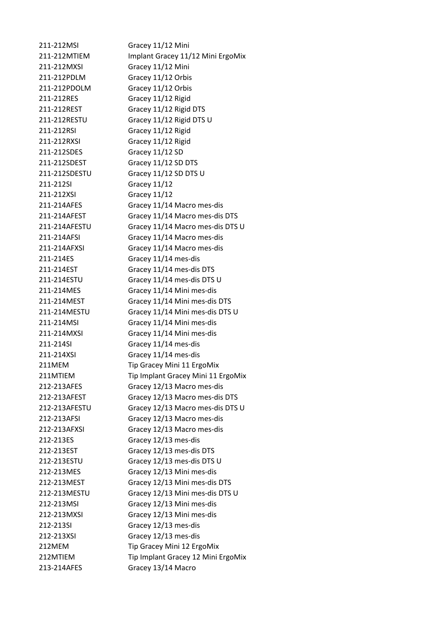211-212MSI Gracey 11/12 Mini 211-212MTIEM Implant Gracey 11/12 Mini ErgoMix 211-212MXSI Gracey 11/12 Mini 211-212PDLM Gracey 11/12 Orbis 211-212PDOLM Gracey 11/12 Orbis 211-212RES Gracey 11/12 Rigid 211-212REST Gracey 11/12 Rigid DTS 211-212RESTU Gracey 11/12 Rigid DTS U 211-212RSI Gracey 11/12 Rigid 211-212RXSI Gracey 11/12 Rigid 211-212SDES Gracey 11/12 SD 211-212SDEST Gracey 11/12 SD DTS 211-212SDESTU Gracey 11/12 SD DTS U 211-212SI Gracey 11/12 211-212XSI Gracey 11/12 211-214AFES Gracey 11/14 Macro mes-dis 211-214AFEST Gracey 11/14 Macro mes-dis DTS 211-214AFESTU Gracey 11/14 Macro mes-dis DTS U 211-214AFSI Gracey 11/14 Macro mes-dis 211-214AFXSI Gracey 11/14 Macro mes-dis 211-214ES Gracey 11/14 mes-dis 211-214EST Gracey 11/14 mes-dis DTS 211-214ESTU Gracey 11/14 mes-dis DTS U 211-214MES Gracey 11/14 Mini mes-dis 211-214MEST Gracey 11/14 Mini mes-dis DTS 211-214MESTU Gracey 11/14 Mini mes-dis DTS U 211-214MSI Gracey 11/14 Mini mes-dis 211-214MXSI Gracey 11/14 Mini mes-dis 211-214SI Gracey 11/14 mes-dis 211-214XSI Gracey 11/14 mes-dis 211MEM Tip Gracey Mini 11 ErgoMix 211MTIEM Tip Implant Gracey Mini 11 ErgoMix 212-213AFES Gracey 12/13 Macro mes-dis 212-213AFEST Gracey 12/13 Macro mes-dis DTS 212-213AFESTU Gracey 12/13 Macro mes-dis DTS U 212-213AFSI Gracey 12/13 Macro mes-dis 212-213AFXSI Gracey 12/13 Macro mes-dis 212-213ES Gracey 12/13 mes-dis 212-213EST Gracey 12/13 mes-dis DTS 212-213ESTU Gracey 12/13 mes-dis DTS U 212-213MES Gracey 12/13 Mini mes-dis 212-213MEST Gracey 12/13 Mini mes-dis DTS 212-213MESTU Gracey 12/13 Mini mes-dis DTS U 212-213MSI Gracey 12/13 Mini mes-dis 212-213MXSI Gracey 12/13 Mini mes-dis 212-213SI Gracey 12/13 mes-dis 212-213XSI Gracey 12/13 mes-dis 212MEM Tip Gracey Mini 12 ErgoMix 212MTIEM Tip Implant Gracey 12 Mini ErgoMix 213-214AFES Gracey 13/14 Macro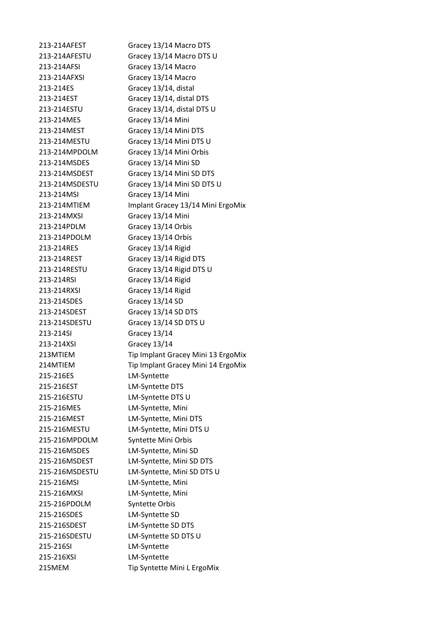213-214AFEST Gracey 13/14 Macro DTS 213-214AFESTU Gracey 13/14 Macro DTS U 213-214AFSI Gracey 13/14 Macro 213-214AFXSI Gracey 13/14 Macro 213-214ES Gracey 13/14, distal 213-214EST Gracey 13/14, distal DTS 213-214ESTU Gracey 13/14, distal DTS U 213-214MES Gracey 13/14 Mini 213-214MEST Gracey 13/14 Mini DTS 213-214MESTU Gracey 13/14 Mini DTS U 213-214MPDOLM Gracey 13/14 Mini Orbis 213-214MSDES Gracey 13/14 Mini SD 213-214MSDEST Gracey 13/14 Mini SD DTS 213-214MSDESTU Gracey 13/14 Mini SD DTS U 213-214MSI Gracey 13/14 Mini 213-214MTIEM Implant Gracey 13/14 Mini ErgoMix 213-214MXSI Gracey 13/14 Mini 213-214PDLM Gracey 13/14 Orbis 213-214PDOLM Gracey 13/14 Orbis 213-214RES Gracey 13/14 Rigid 213-214REST Gracey 13/14 Rigid DTS 213-214RESTU Gracey 13/14 Rigid DTS U 213-214RSI Gracey 13/14 Rigid 213-214RXSI Gracey 13/14 Rigid 213-214SDES Gracey 13/14 SD 213-214SDEST Gracey 13/14 SD DTS 213-214SDESTU Gracey 13/14 SD DTS U 213-214SI Gracey 13/14 213-214XSI Gracey 13/14 213MTIEM Tip Implant Gracey Mini 13 ErgoMix 214MTIEM Tip Implant Gracey Mini 14 ErgoMix 215-216ES LM-Syntette 215-216EST LM-Syntette DTS 215-216ESTU LM-Syntette DTS U 215-216MES LM-Syntette, Mini 215-216MEST LM-Syntette, Mini DTS 215-216MESTU LM-Syntette, Mini DTS U 215-216MPDOLM Syntette Mini Orbis 215-216MSDES LM-Syntette, Mini SD 215-216MSDEST LM-Syntette, Mini SD DTS 215-216MSDESTU LM-Syntette, Mini SD DTS U 215-216MSI LM-Syntette, Mini 215-216MXSI LM-Syntette, Mini 215-216PDOLM Syntette Orbis 215-216SDES LM-Syntette SD 215-216SDEST LM-Syntette SD DTS 215-216SDESTU LM-Syntette SD DTS U 215-216SI LM-Syntette 215-216XSI LM-Syntette 215MEM Tip Syntette Mini L ErgoMix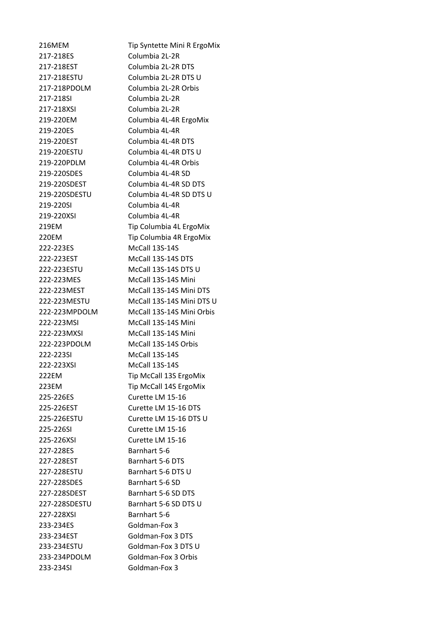216MEM Tip Syntette Mini R ErgoMix 217-218ES Columbia 2L-2R 217-218EST Columbia 2L-2R DTS 217-218ESTU Columbia 2L-2R DTS U 217-218PDOLM Columbia 2L-2R Orbis 217-218SI Columbia 2L-2R 217-218XSI Columbia 2L-2R 219-220EM Columbia 4L-4R ErgoMix 219-220ES Columbia 4L-4R 219-220EST Columbia 4L-4R DTS 219-220ESTU Columbia 4L-4R DTS U 219-220PDLM Columbia 4L-4R Orbis 219-220SDES Columbia 4L-4R SD 219-220SDEST Columbia 4L-4R SD DTS 219-220SDESTU Columbia 4L-4R SD DTS U 219-220SI Columbia 4L-4R 219-220XSI Columbia 4L-4R 219EM Tip Columbia 4L ErgoMix 220EM Tip Columbia 4R ErgoMix 222-223ES McCall 13S-14S 222-223EST McCall 13S-14S DTS 222-223ESTU McCall 13S-14S DTS U 222-223MES McCall 13S-14S Mini 222-223MEST McCall 13S-14S Mini DTS 222-223MESTU McCall 13S-14S Mini DTS U 222-223MPDOLM McCall 13S-14S Mini Orbis 222-223MSI McCall 13S-14S Mini 222-223MXSI McCall 13S-14S Mini 222-223PDOLM McCall 13S-14S Orbis 222-223SI McCall 13S-14S 222-223XSI McCall 13S-14S 222EM Tip McCall 13S ErgoMix 223EM Tip McCall 14S ErgoMix 225-226ES Curette LM 15-16 225-226EST Curette LM 15-16 DTS 225-226ESTU Curette LM 15-16 DTS U 225-226SI Curette LM 15-16 225-226XSI Curette LM 15-16 227-228ES Barnhart 5-6 227-228EST Barnhart 5-6 DTS 227-228ESTU Barnhart 5-6 DTS U 227-228SDES Barnhart 5-6 SD 227-228SDEST Barnhart 5-6 SD DTS 227-228SDESTU Barnhart 5-6 SD DTS U 227-228XSI Barnhart 5-6 233-234ES Goldman-Fox 3 233-234EST Goldman-Fox 3 DTS 233-234ESTU Goldman-Fox 3 DTS U 233-234PDOLM Goldman-Fox 3 Orbis 233-234SI Goldman-Fox 3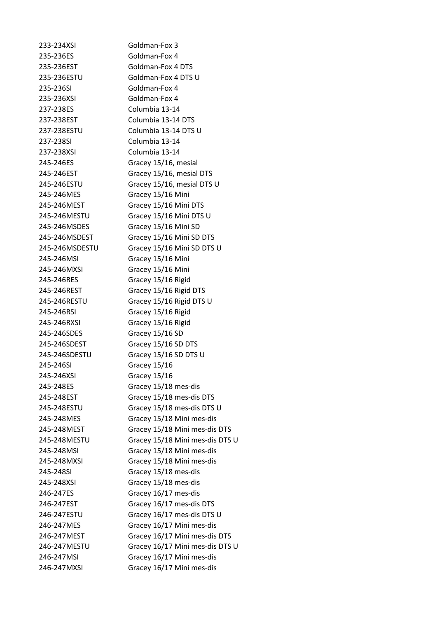233-234XSI Goldman-Fox 3 235-236ES Goldman-Fox 4 235-236EST Goldman-Fox 4 DTS 235-236ESTU Goldman-Fox 4 DTS U 235-236SI Goldman-Fox 4 235-236XSI Goldman-Fox 4 237-238ES Columbia 13-14 237-238EST Columbia 13-14 DTS 237-238ESTU Columbia 13-14 DTS U 237-238SI Columbia 13-14 237-238XSI Columbia 13-14 245-246ES Gracey 15/16, mesial 245-246EST Gracey 15/16, mesial DTS 245-246ESTU Gracey 15/16, mesial DTS U 245-246MES Gracey 15/16 Mini 245-246MEST Gracey 15/16 Mini DTS 245-246MESTU Gracey 15/16 Mini DTS U 245-246MSDES Gracey 15/16 Mini SD 245-246MSDEST Gracey 15/16 Mini SD DTS 245-246MSDESTU Gracey 15/16 Mini SD DTS U 245-246MSI Gracey 15/16 Mini 245-246MXSI Gracey 15/16 Mini 245-246RES Gracey 15/16 Rigid 245-246REST Gracey 15/16 Rigid DTS 245-246RESTU Gracey 15/16 Rigid DTS U 245-246RSI Gracey 15/16 Rigid 245-246RXSI Gracey 15/16 Rigid 245-246SDES Gracey 15/16 SD 245-246SDEST Gracey 15/16 SD DTS 245-246SDESTU Gracey 15/16 SD DTS U 245-246SI Gracey 15/16 245-246XSI Gracey 15/16 245-248ES Gracey 15/18 mes-dis 245-248EST Gracey 15/18 mes-dis DTS 245-248ESTU Gracey 15/18 mes-dis DTS U 245-248MES Gracey 15/18 Mini mes-dis 245-248MEST Gracey 15/18 Mini mes-dis DTS 245-248MESTU Gracey 15/18 Mini mes-dis DTS U 245-248MSI Gracey 15/18 Mini mes-dis 245-248MXSI Gracey 15/18 Mini mes-dis 245-248SI Gracey 15/18 mes-dis 245-248XSI Gracey 15/18 mes-dis 246-247ES Gracey 16/17 mes-dis 246-247EST Gracey 16/17 mes-dis DTS 246-247ESTU Gracey 16/17 mes-dis DTS U 246-247MES Gracey 16/17 Mini mes-dis 246-247MEST Gracey 16/17 Mini mes-dis DTS 246-247MESTU Gracey 16/17 Mini mes-dis DTS U 246-247MSI Gracey 16/17 Mini mes-dis 246-247MXSI Gracey 16/17 Mini mes-dis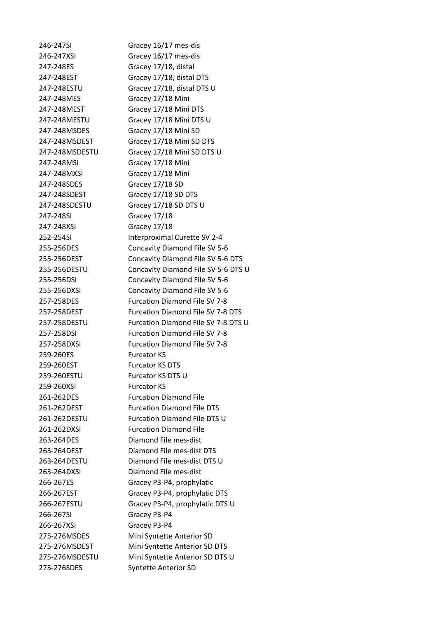246-247SI Gracey 16/17 mes-dis 246-247XSI Gracey 16/17 mes-dis 247-248ES Gracey 17/18, distal 247-248MES Gracey 17/18 Mini 247-248MEST Gracey 17/18 Mini DTS 247-248MSDES Gracey 17/18 Mini SD 247-248MSI Gracey 17/18 Mini 247-248MXSI Gracey 17/18 Mini 247-248SDES Gracey 17/18 SD 247-248SDEST Gracey 17/18 SD DTS 247-248SDESTU Gracey 17/18 SD DTS U 247-248SI Gracey 17/18 247-248XSI Gracey 17/18 259-260ES Furcator KS 259-260EST Furcator KS DTS 259-260ESTU Furcator KS DTS U 259-260XSI Furcator KS 261-262DES Furcation Diamond File 261-262DXSI Furcation Diamond File 263-264DES Diamond File mes-dist 263-264DXSI Diamond File mes-dist 266-267SI Gracey P3-P4 266-267XSI Gracey P3-P4 275-276SDES Syntette Anterior SD

247-248EST Gracey 17/18, distal DTS 247-248ESTU Gracey 17/18, distal DTS U 247-248MESTU Gracey 17/18 Mini DTS U 247-248MSDEST Gracey 17/18 Mini SD DTS 247-248MSDESTU Gracey 17/18 Mini SD DTS U 252-254SI Interproximal Curette SV 2-4 255-256DES Concavity Diamond File SV 5-6 255-256DEST Concavity Diamond File SV 5-6 DTS 255-256DESTU Concavity Diamond File SV 5-6 DTS U 255-256DSI Concavity Diamond File SV 5-6 255-256DXSI Concavity Diamond File SV 5-6 257-258DES Furcation Diamond File SV 7-8 257-258DEST Furcation Diamond File SV 7-8 DTS 257-258DESTU Furcation Diamond File SV 7-8 DTS U 257-258DSI Furcation Diamond File SV 7-8 257-258DXSI Furcation Diamond File SV 7-8 261-262DEST Furcation Diamond File DTS 261-262DESTU Furcation Diamond File DTS U 263-264DEST Diamond File mes-dist DTS 263-264DESTU Diamond File mes-dist DTS U 266-267ES Gracey P3-P4, prophylatic 266-267EST Gracey P3-P4, prophylatic DTS 266-267ESTU Gracey P3-P4, prophylatic DTS U 275-276MSDES Mini Syntette Anterior SD 275-276MSDEST Mini Syntette Anterior SD DTS 275-276MSDESTU Mini Syntette Anterior SD DTS U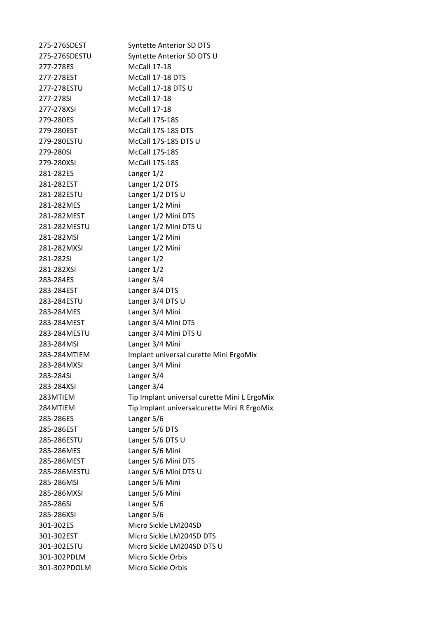| 275-276SDEST  | <b>Syntette Anterior SD DTS</b>              |
|---------------|----------------------------------------------|
| 275-276SDESTU | Syntette Anterior SD DTS U                   |
| 277-278ES     | McCall 17-18                                 |
| 277-278EST    | McCall 17-18 DTS                             |
| 277-278ESTU   | McCall 17-18 DTS U                           |
| 277-278SI     | McCall 17-18                                 |
| 277-278XSI    | McCall 17-18                                 |
| 279-280ES     | McCall 17S-18S                               |
| 279-280EST    | McCall 17S-18S DTS                           |
| 279-280ESTU   | McCall 17S-18S DTS U                         |
| 279-280SI     | McCall 17S-18S                               |
| 279-280XSI    | McCall 17S-18S                               |
| 281-282ES     | Langer 1/2                                   |
| 281-282EST    | Langer 1/2 DTS                               |
| 281-282ESTU   | Langer 1/2 DTS U                             |
| 281-282MES    | Langer 1/2 Mini                              |
| 281-282MEST   | Langer 1/2 Mini DTS                          |
| 281-282MESTU  | Langer 1/2 Mini DTS U                        |
| 281-282MSI    | Langer 1/2 Mini                              |
| 281-282MXSI   | Langer 1/2 Mini                              |
| 281-282SI     | Langer 1/2                                   |
| 281-282XSI    | Langer 1/2                                   |
| 283-284ES     | Langer 3/4                                   |
| 283-284EST    | Langer 3/4 DTS                               |
| 283-284ESTU   | Langer 3/4 DTS U                             |
| 283-284MES    | Langer 3/4 Mini                              |
| 283-284MEST   | Langer 3/4 Mini DTS                          |
| 283-284MESTU  | Langer 3/4 Mini DTS U                        |
| 283-284MSI    | Langer 3/4 Mini                              |
| 283-284MTIEM  | Implant universal curette Mini ErgoMix       |
| 283-284MXSI   | Langer 3/4 Mini                              |
| 283-284SI     | Langer 3/4                                   |
| 283-284XSI    | Langer 3/4                                   |
| 283MTIEM      | Tip Implant universal curette Mini L ErgoMix |
| 284MTIEM      | Tip Implant universalcurette Mini R ErgoMix  |
| 285-286ES     | Langer 5/6                                   |
| 285-286EST    | Langer 5/6 DTS                               |
| 285-286ESTU   | Langer 5/6 DTS U                             |
| 285-286MES    | Langer 5/6 Mini                              |
| 285-286MEST   | Langer 5/6 Mini DTS                          |
| 285-286MESTU  | Langer 5/6 Mini DTS U                        |
| 285-286MSI    | Langer 5/6 Mini                              |
| 285-286MXSI   | Langer 5/6 Mini                              |
| 285-286SI     | Langer 5/6                                   |
| 285-286XSI    | Langer 5/6                                   |
| 301-302ES     | Micro Sickle LM204SD                         |
| 301-302EST    | Micro Sickle LM204SD DTS                     |
| 301-302ESTU   | Micro Sickle LM204SD DTS U                   |
| 301-302PDLM   | Micro Sickle Orbis                           |
| 301-302PDOLM  | Micro Sickle Orbis                           |
|               |                                              |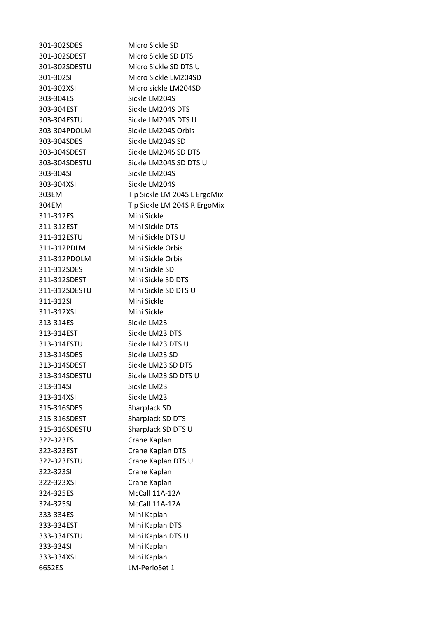301-302SDES Micro Sickle SD 301-302SDEST Micro Sickle SD DTS 301-302SDESTU Micro Sickle SD DTS U 301-302SI Micro Sickle LM204SD 301-302XSI Micro sickle LM204SD 303-304ES Sickle LM204S 303-304EST Sickle LM204S DTS 303-304ESTU Sickle LM204S DTS U 303-304PDOLM Sickle LM204S Orbis 303-304SDES Sickle LM204S SD 303-304SDEST Sickle LM204S SD DTS 303-304SDESTU Sickle LM204S SD DTS U 303-304SI Sickle LM204S 303-304XSI Sickle LM204S 303EM Tip Sickle LM 204S L ErgoMix 304EM Tip Sickle LM 204S R ErgoMix 311-312ES Mini Sickle 311-312EST Mini Sickle DTS 311-312ESTU Mini Sickle DTS U 311-312PDLM Mini Sickle Orbis 311-312PDOLM Mini Sickle Orbis 311-312SDES Mini Sickle SD 311-312SDEST Mini Sickle SD DTS 311-312SDESTU Mini Sickle SD DTS U 311-312SI Mini Sickle 311-312XSI Mini Sickle 313-314ES Sickle LM23 313-314EST Sickle LM23 DTS 313-314ESTU Sickle LM23 DTS U 313-314SDES Sickle LM23 SD 313-314SDEST Sickle LM23 SD DTS 313-314SDESTU Sickle LM23 SD DTS U 313-314SI Sickle LM23 313-314XSI Sickle LM23 315-316SDES SharpJack SD 315-316SDEST SharpJack SD DTS 315-316SDESTU SharpJack SD DTS U 322-323ES Crane Kaplan 322-323EST Crane Kaplan DTS 322-323ESTU Crane Kaplan DTS U 322-323SI Crane Kaplan 322-323XSI Crane Kaplan 324-325ES McCall 11A-12A 324-325SI McCall 11A-12A 333-334ES Mini Kaplan 333-334EST Mini Kaplan DTS 333-334ESTU Mini Kaplan DTS U 333-334SI Mini Kaplan 333-334XSI Mini Kaplan 6652ES LM-PerioSet 1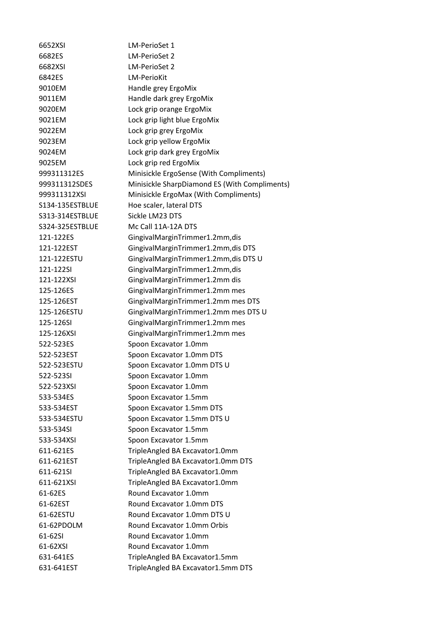| 6652XSI         | LM-PerioSet 1                                 |
|-----------------|-----------------------------------------------|
| 6682ES          | LM-PerioSet 2                                 |
| 6682XSI         | LM-PerioSet 2                                 |
| 6842ES          | <b>LM-PerioKit</b>                            |
| 9010EM          | Handle grey ErgoMix                           |
| 9011EM          | Handle dark grey ErgoMix                      |
| 9020EM          | Lock grip orange ErgoMix                      |
| 9021EM          | Lock grip light blue ErgoMix                  |
| 9022EM          | Lock grip grey ErgoMix                        |
| 9023EM          | Lock grip yellow ErgoMix                      |
| 9024EM          | Lock grip dark grey ErgoMix                   |
| 9025EM          | Lock grip red ErgoMix                         |
| 999311312ES     | Minisickle ErgoSense (With Compliments)       |
| 999311312SDES   | Minisickle SharpDiamond ES (With Compliments) |
| 999311312XSI    | Minisickle ErgoMax (With Compliments)         |
| S134-135ESTBLUE | Hoe scaler, lateral DTS                       |
| S313-314ESTBLUE | Sickle LM23 DTS                               |
| S324-325ESTBLUE | Mc Call 11A-12A DTS                           |
| 121-122ES       | GingivalMarginTrimmer1.2mm,dis                |
| 121-122EST      | GingivalMarginTrimmer1.2mm,dis DTS            |
| 121-122ESTU     | GingivalMarginTrimmer1.2mm, dis DTS U         |
| 121-122SI       | GingivalMarginTrimmer1.2mm,dis                |
| 121-122XSI      | GingivalMarginTrimmer1.2mm dis                |
| 125-126ES       | GingivalMarginTrimmer1.2mm mes                |
| 125-126EST      | GingivalMarginTrimmer1.2mm mes DTS            |
| 125-126ESTU     | GingivalMarginTrimmer1.2mm mes DTS U          |
| 125-126SI       | GingivalMarginTrimmer1.2mm mes                |
| 125-126XSI      | GingivalMarginTrimmer1.2mm mes                |
| 522-523ES       | Spoon Excavator 1.0mm                         |
| 522-523EST      | Spoon Excavator 1.0mm DTS                     |
| 522-523ESTU     | Spoon Excavator 1.0mm DTS U                   |
| 522-523SI       | Spoon Excavator 1.0mm                         |
| 522-523XSI      | Spoon Excavator 1.0mm                         |
| 533-534ES       | Spoon Excavator 1.5mm                         |
| 533-534EST      | Spoon Excavator 1.5mm DTS                     |
| 533-534ESTU     | Spoon Excavator 1.5mm DTS U                   |
| 533-534SI       | Spoon Excavator 1.5mm                         |
| 533-534XSI      | Spoon Excavator 1.5mm                         |
| 611-621ES       | TripleAngled BA Excavator1.0mm                |
| 611-621EST      | TripleAngled BA Excavator1.0mm DTS            |
| 611-621SI       | TripleAngled BA Excavator1.0mm                |
| 611-621XSI      | TripleAngled BA Excavator1.0mm                |
| 61-62ES         | Round Excavator 1.0mm                         |
| 61-62EST        | Round Excavator 1.0mm DTS                     |
| 61-62ESTU       | Round Excavator 1.0mm DTS U                   |
| 61-62PDOLM      | Round Excavator 1.0mm Orbis                   |
| 61-62SI         | Round Excavator 1.0mm                         |
| 61-62XSI        | Round Excavator 1.0mm                         |
| 631-641ES       | TripleAngled BA Excavator1.5mm                |
| 631-641EST      | TripleAngled BA Excavator1.5mm DTS            |
|                 |                                               |